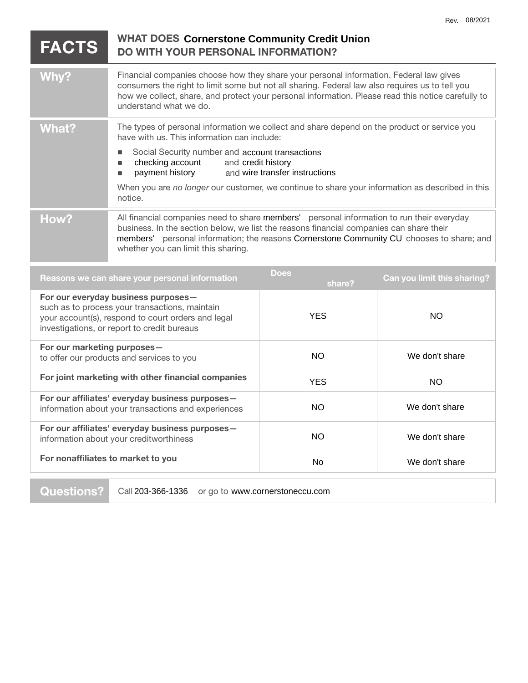| <b>FACTS</b>                                                                                                                                                                               | <b>WHAT DOES Cornerstone Community Credit Union</b><br><b>DO WITH YOUR PERSONAL INFORMATION?</b>                                                                                                                                                                                                                          |                                |                |
|--------------------------------------------------------------------------------------------------------------------------------------------------------------------------------------------|---------------------------------------------------------------------------------------------------------------------------------------------------------------------------------------------------------------------------------------------------------------------------------------------------------------------------|--------------------------------|----------------|
| Why?                                                                                                                                                                                       | Financial companies choose how they share your personal information. Federal law gives<br>consumers the right to limit some but not all sharing. Federal law also requires us to tell you<br>how we collect, share, and protect your personal information. Please read this notice carefully to<br>understand what we do. |                                |                |
| <b>What?</b>                                                                                                                                                                               | The types of personal information we collect and share depend on the product or service you<br>have with us. This information can include:                                                                                                                                                                                |                                |                |
|                                                                                                                                                                                            | Social Security number and account transactions<br>L.<br>checking account<br>and credit history<br>п<br>payment history<br>п                                                                                                                                                                                              | and wire transfer instructions |                |
|                                                                                                                                                                                            | When you are no longer our customer, we continue to share your information as described in this<br>notice.                                                                                                                                                                                                                |                                |                |
| How?                                                                                                                                                                                       | All financial companies need to share members' personal information to run their everyday<br>business. In the section below, we list the reasons financial companies can share their<br>members' personal information; the reasons Cornerstone Community CU chooses to share; and<br>whether you can limit this sharing.  |                                |                |
| <b>Does</b><br>Reasons we can share your personal information<br>share?                                                                                                                    |                                                                                                                                                                                                                                                                                                                           | Can you limit this sharing?    |                |
| For our everyday business purposes-<br>such as to process your transactions, maintain<br>your account(s), respond to court orders and legal<br>investigations, or report to credit bureaus |                                                                                                                                                                                                                                                                                                                           | <b>YES</b>                     | <b>NO</b>      |
| For our marketing purposes-<br>to offer our products and services to you                                                                                                                   |                                                                                                                                                                                                                                                                                                                           | <b>NO</b>                      | We don't share |
| For joint marketing with other financial companies                                                                                                                                         |                                                                                                                                                                                                                                                                                                                           | <b>YES</b>                     | <b>NO</b>      |
| For our affiliates' everyday business purposes-<br>information about your transactions and experiences                                                                                     |                                                                                                                                                                                                                                                                                                                           | <b>NO</b>                      | We don't share |

**For nonaffiliates to market to you** 

information about your creditworthiness

**For our affiliates' everyday business purposes—** 

**Questions?** Call 203-366-1336 or go to www.cornerstoneccu.com

NO We don't share

No We don't share